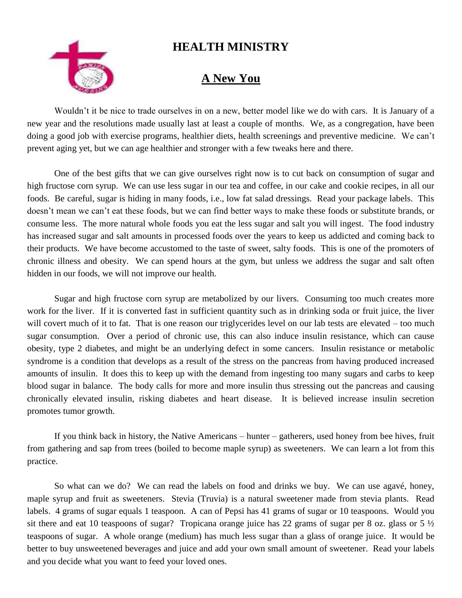## **HEALTH MINISTRY**



## **A New You**

Wouldn't it be nice to trade ourselves in on a new, better model like we do with cars. It is January of a new year and the resolutions made usually last at least a couple of months. We, as a congregation, have been doing a good job with exercise programs, healthier diets, health screenings and preventive medicine. We can't prevent aging yet, but we can age healthier and stronger with a few tweaks here and there.

One of the best gifts that we can give ourselves right now is to cut back on consumption of sugar and high fructose corn syrup. We can use less sugar in our tea and coffee, in our cake and cookie recipes, in all our foods. Be careful, sugar is hiding in many foods, i.e., low fat salad dressings. Read your package labels. This doesn't mean we can't eat these foods, but we can find better ways to make these foods or substitute brands, or consume less. The more natural whole foods you eat the less sugar and salt you will ingest. The food industry has increased sugar and salt amounts in processed foods over the years to keep us addicted and coming back to their products. We have become accustomed to the taste of sweet, salty foods. This is one of the promoters of chronic illness and obesity. We can spend hours at the gym, but unless we address the sugar and salt often hidden in our foods, we will not improve our health.

Sugar and high fructose corn syrup are metabolized by our livers. Consuming too much creates more work for the liver. If it is converted fast in sufficient quantity such as in drinking soda or fruit juice, the liver will covert much of it to fat. That is one reason our triglycerides level on our lab tests are elevated – too much sugar consumption. Over a period of chronic use, this can also induce insulin resistance, which can cause obesity, type 2 diabetes, and might be an underlying defect in some cancers. Insulin resistance or metabolic syndrome is a condition that develops as a result of the stress on the pancreas from having produced increased amounts of insulin. It does this to keep up with the demand from ingesting too many sugars and carbs to keep blood sugar in balance. The body calls for more and more insulin thus stressing out the pancreas and causing chronically elevated insulin, risking diabetes and heart disease. It is believed increase insulin secretion promotes tumor growth.

If you think back in history, the Native Americans – hunter – gatherers, used honey from bee hives, fruit from gathering and sap from trees (boiled to become maple syrup) as sweeteners. We can learn a lot from this practice.

So what can we do? We can read the labels on food and drinks we buy. We can use agavé, honey, maple syrup and fruit as sweeteners. Stevia (Truvia) is a natural sweetener made from stevia plants. Read labels. 4 grams of sugar equals 1 teaspoon. A can of Pepsi has 41 grams of sugar or 10 teaspoons. Would you sit there and eat 10 teaspoons of sugar? Tropicana orange juice has 22 grams of sugar per 8 oz. glass or 5  $\frac{1}{2}$ teaspoons of sugar. A whole orange (medium) has much less sugar than a glass of orange juice. It would be better to buy unsweetened beverages and juice and add your own small amount of sweetener. Read your labels and you decide what you want to feed your loved ones.